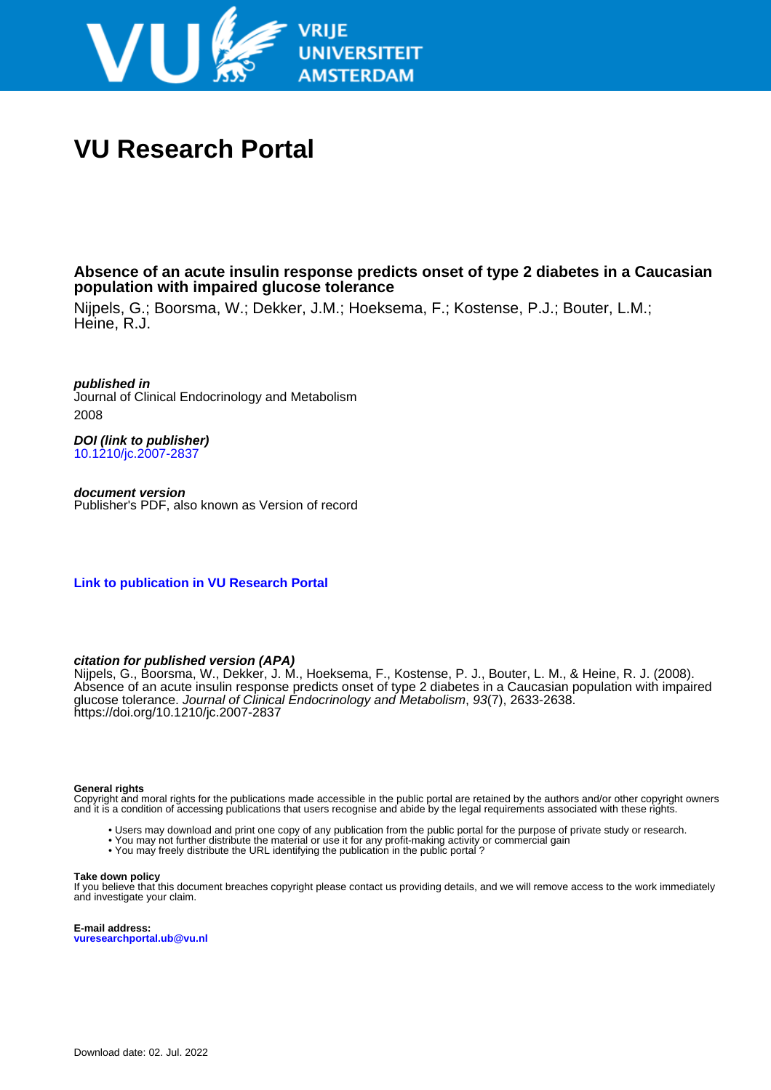

# **VU Research Portal**

**Absence of an acute insulin response predicts onset of type 2 diabetes in a Caucasian population with impaired glucose tolerance**

Nijpels, G.; Boorsma, W.; Dekker, J.M.; Hoeksema, F.; Kostense, P.J.; Bouter, L.M.; Heine, R.J.

**published in** Journal of Clinical Endocrinology and Metabolism 2008

**DOI (link to publisher)** [10.1210/jc.2007-2837](https://doi.org/10.1210/jc.2007-2837)

**document version** Publisher's PDF, also known as Version of record

**[Link to publication in VU Research Portal](https://research.vu.nl/en/publications/c3646cb8-c3e4-4bf9-806c-7cc806a291fd)**

# **citation for published version (APA)**

Nijpels, G., Boorsma, W., Dekker, J. M., Hoeksema, F., Kostense, P. J., Bouter, L. M., & Heine, R. J. (2008). Absence of an acute insulin response predicts onset of type 2 diabetes in a Caucasian population with impaired glucose tolerance. Journal of Clinical Endocrinology and Metabolism, 93(7), 2633-2638. <https://doi.org/10.1210/jc.2007-2837>

#### **General rights**

Copyright and moral rights for the publications made accessible in the public portal are retained by the authors and/or other copyright owners and it is a condition of accessing publications that users recognise and abide by the legal requirements associated with these rights.

- Users may download and print one copy of any publication from the public portal for the purpose of private study or research.
- You may not further distribute the material or use it for any profit-making activity or commercial gain
- You may freely distribute the URL identifying the publication in the public portal ?

#### **Take down policy**

If you believe that this document breaches copyright please contact us providing details, and we will remove access to the work immediately and investigate your claim.

**E-mail address: vuresearchportal.ub@vu.nl**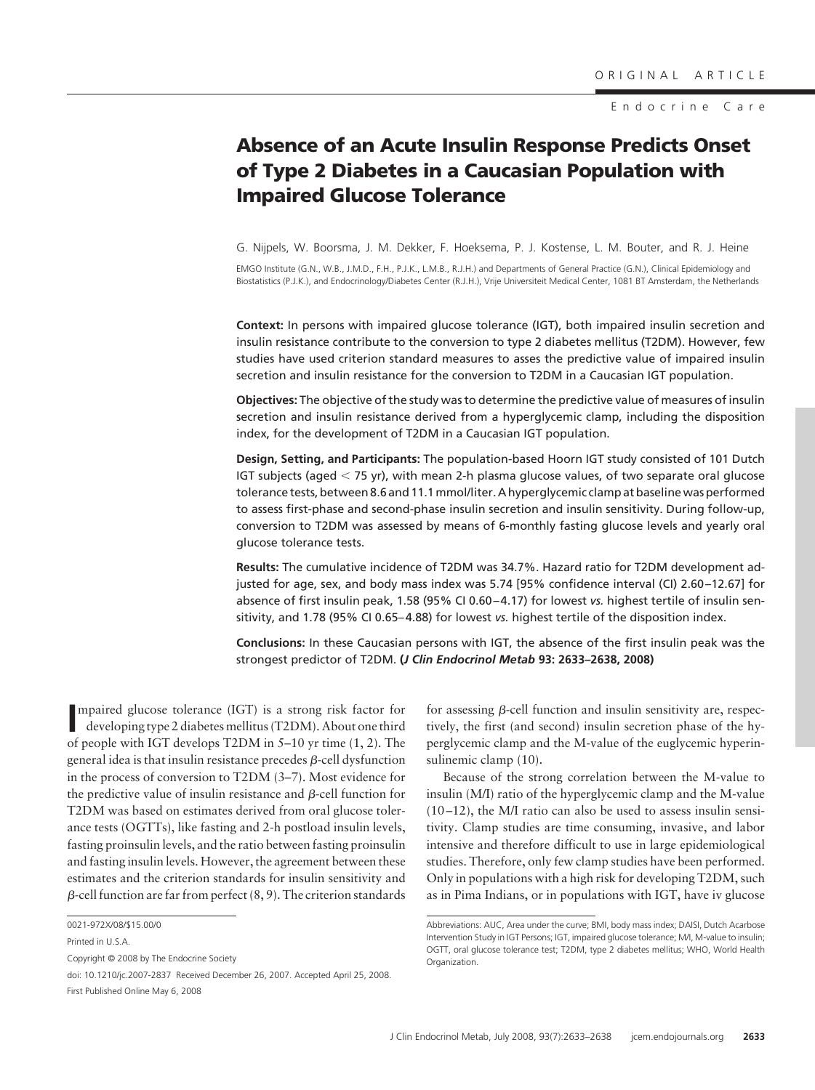Endocrine Care

# **Absence of an Acute Insulin Response Predicts Onset of Type 2 Diabetes in a Caucasian Population with Impaired Glucose Tolerance**

G. Nijpels, W. Boorsma, J. M. Dekker, F. Hoeksema, P. J. Kostense, L. M. Bouter, and R. J. Heine

EMGO Institute (G.N., W.B., J.M.D., F.H., P.J.K., L.M.B., R.J.H.) and Departments of General Practice (G.N.), Clinical Epidemiology and Biostatistics (P.J.K.), and Endocrinology/Diabetes Center (R.J.H.), Vrije Universiteit Medical Center, 1081 BT Amsterdam, the Netherlands

**Context:** In persons with impaired glucose tolerance (IGT), both impaired insulin secretion and insulin resistance contribute to the conversion to type 2 diabetes mellitus (T2DM). However, few studies have used criterion standard measures to asses the predictive value of impaired insulin secretion and insulin resistance for the conversion to T2DM in a Caucasian IGT population.

**Objectives:** The objective of the study was to determine the predictive value of measures of insulin secretion and insulin resistance derived from a hyperglycemic clamp, including the disposition index, for the development of T2DM in a Caucasian IGT population.

**Design, Setting, and Participants:** The population-based Hoorn IGT study consisted of 101 Dutch IGT subjects (aged  $<$  75 yr), with mean 2-h plasma glucose values, of two separate oral glucose tolerance tests, between 8.6 and 11.1mmol/liter. A hyperglycemic clamp at baseline was performed to assess first-phase and second-phase insulin secretion and insulin sensitivity. During follow-up, conversion to T2DM was assessed by means of 6-monthly fasting glucose levels and yearly oral glucose tolerance tests.

**Results:** The cumulative incidence of T2DM was 34.7%. Hazard ratio for T2DM development adjusted for age, sex, and body mass index was 5.74 [95% confidence interval (CI) 2.60 –12.67] for absence of first insulin peak, 1.58 (95% CI 0.60 – 4.17) for lowest *vs.* highest tertile of insulin sensitivity, and 1.78 (95% CI 0.65– 4.88) for lowest *vs.* highest tertile of the disposition index.

**Conclusions:** In these Caucasian persons with IGT, the absence of the first insulin peak was the strongest predictor of T2DM. **(***J Clin Endocrinol Metab* **93: 2633–2638, 2008)**

**I** mpaired glucose tolerance (IGT) is a strong risk factor for developing type 2 diabetes mellitus (T2DM). About one third developing type 2 diabetes mellitus (T2DM). About one third of people with IGT develops T2DM in 5–10 yr time (1, 2). The general idea is that insulin resistance precedes  $\beta$ -cell dysfunction in the process of conversion to T2DM (3–7). Most evidence for the predictive value of insulin resistance and  $\beta$ -cell function for T2DM was based on estimates derived from oral glucose tolerance tests (OGTTs), like fasting and 2-h postload insulin levels, fasting proinsulin levels, and the ratio between fasting proinsulin and fasting insulin levels. However, the agreement between these estimates and the criterion standards for insulin sensitivity and  $\beta$ -cell function are far from perfect (8, 9). The criterion standards

for assessing  $\beta$ -cell function and insulin sensitivity are, respectively, the first (and second) insulin secretion phase of the hyperglycemic clamp and the M-value of the euglycemic hyperinsulinemic clamp (10).

Because of the strong correlation between the M-value to insulin (M/I) ratio of the hyperglycemic clamp and the M-value (10 –12), the M/I ratio can also be used to assess insulin sensitivity. Clamp studies are time consuming, invasive, and labor intensive and therefore difficult to use in large epidemiological studies. Therefore, only few clamp studies have been performed. Only in populations with a high risk for developing T2DM, such as in Pima Indians, or in populations with IGT, have iv glucose

<sup>0021-972</sup>X/08/\$15.00/0

Printed in U.S.A.

Copyright © 2008 by The Endocrine Society

doi: 10.1210/jc.2007-2837 Received December 26, 2007. Accepted April 25, 2008. First Published Online May 6, 2008

Abbreviations: AUC, Area under the curve; BMI, body mass index; DAISI, Dutch Acarbose Intervention Study in IGT Persons; IGT, impaired glucose tolerance; M/I, M-value to insulin; OGTT, oral glucose tolerance test; T2DM, type 2 diabetes mellitus; WHO, World Health Organization.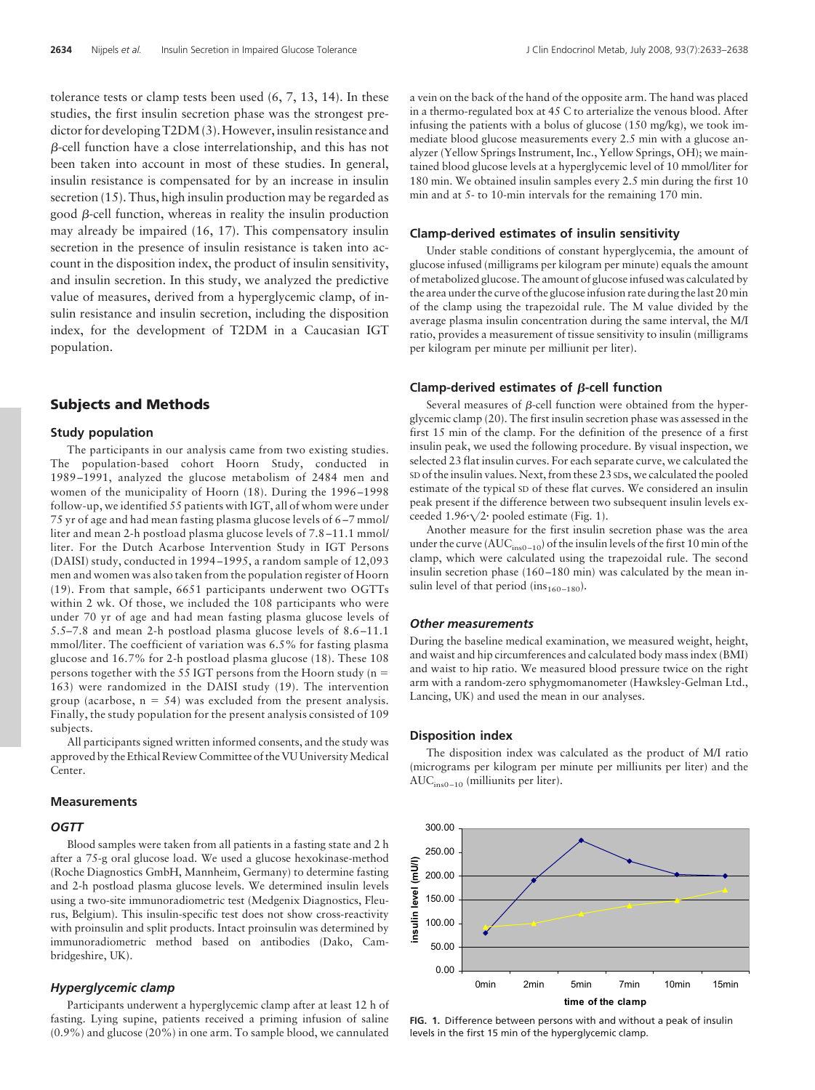tolerance tests or clamp tests been used (6, 7, 13, 14). In these studies, the first insulin secretion phase was the strongest predictor for developing T2DM (3). However, insulin resistance and  $\beta$ -cell function have a close interrelationship, and this has not been taken into account in most of these studies. In general, insulin resistance is compensated for by an increase in insulin secretion (15). Thus, high insulin production may be regarded as good  $\beta$ -cell function, whereas in reality the insulin production may already be impaired (16, 17). This compensatory insulin secretion in the presence of insulin resistance is taken into account in the disposition index, the product of insulin sensitivity, and insulin secretion. In this study, we analyzed the predictive value of measures, derived from a hyperglycemic clamp, of insulin resistance and insulin secretion, including the disposition index, for the development of T2DM in a Caucasian IGT population.

# **Subjects and Methods**

#### **Study population**

The participants in our analysis came from two existing studies. The population-based cohort Hoorn Study, conducted in 1989 –1991, analyzed the glucose metabolism of 2484 men and women of the municipality of Hoorn (18). During the 1996 –1998 follow-up, we identified 55 patients with IGT, all of whom were under 75 yr of age and had mean fasting plasma glucose levels of 6 –7 mmol/ liter and mean 2-h postload plasma glucose levels of 7.8 –11.1 mmol/ liter. For the Dutch Acarbose Intervention Study in IGT Persons (DAISI) study, conducted in 1994 –1995, a random sample of 12,093 men and women was also taken from the population register of Hoorn (19). From that sample, 6651 participants underwent two OGTTs within 2 wk. Of those, we included the 108 participants who were under 70 yr of age and had mean fasting plasma glucose levels of 5.5–7.8 and mean 2-h postload plasma glucose levels of 8.6 –11.1 mmol/liter. The coefficient of variation was 6.5% for fasting plasma glucose and 16.7% for 2-h postload plasma glucose (18). These 108 persons together with the 55 IGT persons from the Hoorn study ( $n =$ 163) were randomized in the DAISI study (19). The intervention group (acarbose,  $n = 54$ ) was excluded from the present analysis. Finally, the study population for the present analysis consisted of 109 subjects.

All participants signed written informed consents, and the study was approved by the Ethical Review Committee of the VU University Medical Center.

#### **Measurements**

#### *OGTT*

Blood samples were taken from all patients in a fasting state and 2 h after a 75-g oral glucose load. We used a glucose hexokinase-method (Roche Diagnostics GmbH, Mannheim, Germany) to determine fasting and 2-h postload plasma glucose levels. We determined insulin levels using a two-site immunoradiometric test (Medgenix Diagnostics, Fleurus, Belgium). This insulin-specific test does not show cross-reactivity with proinsulin and split products. Intact proinsulin was determined by immunoradiometric method based on antibodies (Dako, Cambridgeshire, UK).

#### *Hyperglycemic clamp*

Participants underwent a hyperglycemic clamp after at least 12 h of fasting. Lying supine, patients received a priming infusion of saline (0.9%) and glucose (20%) in one arm. To sample blood, we cannulated a vein on the back of the hand of the opposite arm. The hand was placed in a thermo-regulated box at 45 C to arterialize the venous blood. After infusing the patients with a bolus of glucose (150 mg/kg), we took immediate blood glucose measurements every 2.5 min with a glucose analyzer (Yellow Springs Instrument, Inc., Yellow Springs, OH); we maintained blood glucose levels at a hyperglycemic level of 10 mmol/liter for 180 min. We obtained insulin samples every 2.5 min during the first 10 min and at 5- to 10-min intervals for the remaining 170 min.

#### **Clamp-derived estimates of insulin sensitivity**

Under stable conditions of constant hyperglycemia, the amount of glucose infused (milligrams per kilogram per minute) equals the amount of metabolized glucose. The amount of glucose infused was calculated by the area under the curve of the glucose infusion rate during the last 20 min of the clamp using the trapezoidal rule. The M value divided by the average plasma insulin concentration during the same interval, the M/I ratio, provides a measurement of tissue sensitivity to insulin (milligrams per kilogram per minute per milliunit per liter).

#### **Clamp-derived estimates of B-cell function**

Several measures of  $\beta$ -cell function were obtained from the hyperglycemic clamp (20). The first insulin secretion phase was assessed in the first 15 min of the clamp. For the definition of the presence of a first insulin peak, we used the following procedure. By visual inspection, we selected 23 flat insulin curves. For each separate curve, we calculated the SD of the insulin values. Next, from these 23 SDs, we calculated the pooled estimate of the typical SD of these flat curves. We considered an insulin peak present if the difference between two subsequent insulin levels exceeded  $1.96\sqrt{2}$  pooled estimate (Fig. 1).

Another measure for the first insulin secretion phase was the area under the curve ( $AUC<sub>ins0-10</sub>$ ) of the insulin levels of the first 10 min of the clamp, which were calculated using the trapezoidal rule. The second insulin secretion phase (160 –180 min) was calculated by the mean insulin level of that period (in $s_{160-180}$ ).

#### *Other measurements*

During the baseline medical examination, we measured weight, height, and waist and hip circumferences and calculated body mass index (BMI) and waist to hip ratio. We measured blood pressure twice on the right arm with a random-zero sphygmomanometer (Hawksley-Gelman Ltd., Lancing, UK) and used the mean in our analyses.

#### **Disposition index**

The disposition index was calculated as the product of M/I ratio (micrograms per kilogram per minute per milliunits per liter) and the AUCins0 –10 (milliunits per liter).



**FIG. 1.** Difference between persons with and without a peak of insulin levels in the first 15 min of the hyperglycemic clamp.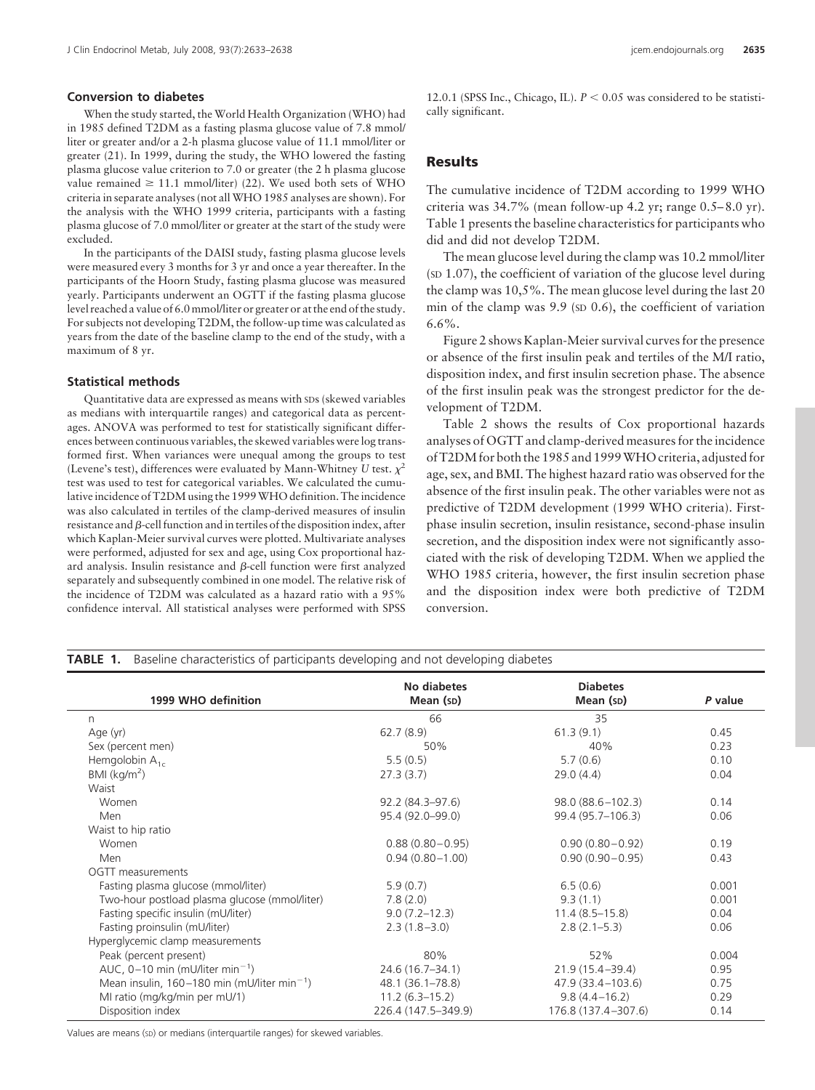#### **Conversion to diabetes**

When the study started, the World Health Organization (WHO) had in 1985 defined T2DM as a fasting plasma glucose value of 7.8 mmol/ liter or greater and/or a 2-h plasma glucose value of 11.1 mmol/liter or greater (21). In 1999, during the study, the WHO lowered the fasting plasma glucose value criterion to 7.0 or greater (the 2 h plasma glucose value remained  $\geq 11.1$  mmol/liter) (22). We used both sets of WHO criteria in separate analyses (not allWHO 1985 analyses are shown). For the analysis with the WHO 1999 criteria, participants with a fasting plasma glucose of 7.0 mmol/liter or greater at the start of the study were excluded.

In the participants of the DAISI study, fasting plasma glucose levels were measured every 3 months for 3 yr and once a year thereafter. In the participants of the Hoorn Study, fasting plasma glucose was measured yearly. Participants underwent an OGTT if the fasting plasma glucose level reached a value of 6.0 mmol/liter or greater or at the end of the study. For subjects not developing T2DM, the follow-up time was calculated as years from the date of the baseline clamp to the end of the study, with a maximum of 8 yr.

#### **Statistical methods**

Quantitative data are expressed as means with SDs (skewed variables as medians with interquartile ranges) and categorical data as percentages. ANOVA was performed to test for statistically significant differences between continuous variables, the skewed variables were log transformed first. When variances were unequal among the groups to test (Levene's test), differences were evaluated by Mann-Whitney *U* test.  $\chi^2$ test was used to test for categorical variables. We calculated the cumulative incidence of T2DM using the 1999WHO definition. The incidence was also calculated in tertiles of the clamp-derived measures of insulin resistance and  $\beta$ -cell function and in tertiles of the disposition index, after which Kaplan-Meier survival curves were plotted. Multivariate analyses were performed, adjusted for sex and age, using Cox proportional hazard analysis. Insulin resistance and  $\beta$ -cell function were first analyzed separately and subsequently combined in one model. The relative risk of the incidence of T2DM was calculated as a hazard ratio with a 95% confidence interval. All statistical analyses were performed with SPSS

12.0.1 (SPSS Inc., Chicago, IL).  $P < 0.05$  was considered to be statistically significant.

# **Results**

The cumulative incidence of T2DM according to 1999 WHO criteria was  $34.7\%$  (mean follow-up  $4.2$  yr; range  $0.5-8.0$  yr). Table 1 presents the baseline characteristics for participants who did and did not develop T2DM.

The mean glucose level during the clamp was 10.2 mmol/liter (SD 1.07), the coefficient of variation of the glucose level during the clamp was 10,5%. The mean glucose level during the last 20 min of the clamp was 9.9 (SD 0.6), the coefficient of variation 6.6%.

Figure 2 shows Kaplan-Meier survival curves for the presence or absence of the first insulin peak and tertiles of the M/I ratio, disposition index, and first insulin secretion phase. The absence of the first insulin peak was the strongest predictor for the development of T2DM.

Table 2 shows the results of Cox proportional hazards analyses of OGTT and clamp-derived measures for the incidence of T2DM for both the 1985 and 1999WHO criteria, adjusted for age, sex, and BMI. The highest hazard ratio was observed for the absence of the first insulin peak. The other variables were not as predictive of T2DM development (1999 WHO criteria). Firstphase insulin secretion, insulin resistance, second-phase insulin secretion, and the disposition index were not significantly associated with the risk of developing T2DM. When we applied the WHO 1985 criteria, however, the first insulin secretion phase and the disposition index were both predictive of T2DM conversion.

| 1999 WHO definition                                       | No diabetes<br>Mean (SD) | <b>Diabetes</b><br>Mean (SD) | P value |
|-----------------------------------------------------------|--------------------------|------------------------------|---------|
| n                                                         | 66                       | 35                           |         |
| Age (yr)                                                  | 62.7(8.9)                | 61.3(9.1)                    | 0.45    |
| Sex (percent men)                                         | 50%                      | 40%                          | 0.23    |
| Hemgolobin $A_{1c}$                                       | 5.5(0.5)                 | 5.7(0.6)                     | 0.10    |
| $BMl$ (kg/m <sup>2</sup> )                                | 27.3(3.7)                | 29.0(4.4)                    | 0.04    |
| Waist                                                     |                          |                              |         |
| Women                                                     | 92.2 (84.3–97.6)         | $98.0(88.6 - 102.3)$         | 0.14    |
| Men                                                       | 95.4 (92.0-99.0)         | 99.4 (95.7-106.3)            | 0.06    |
| Waist to hip ratio                                        |                          |                              |         |
| Women                                                     | $0.88(0.80 - 0.95)$      | $0.90(0.80 - 0.92)$          | 0.19    |
| Men                                                       | $0.94(0.80 - 1.00)$      | $0.90(0.90 - 0.95)$          | 0.43    |
| OGTT measurements                                         |                          |                              |         |
| Fasting plasma glucose (mmol/liter)                       | 5.9(0.7)                 | 6.5(0.6)                     | 0.001   |
| Two-hour postload plasma glucose (mmol/liter)             | 7.8(2.0)                 | 9.3(1.1)                     | 0.001   |
| Fasting specific insulin (mU/liter)                       | $9.0(7.2 - 12.3)$        | $11.4(8.5 - 15.8)$           | 0.04    |
| Fasting proinsulin (mU/liter)                             | $2.3(1.8 - 3.0)$         | $2.8(2.1-5.3)$               | 0.06    |
| Hyperglycemic clamp measurements                          |                          |                              |         |
| Peak (percent present)                                    | 80%                      | 52%                          | 0.004   |
| AUC, $0-10$ min (mU/liter min <sup>-1</sup> )             | 24.6 (16.7–34.1)         | $21.9(15.4 - 39.4)$          | 0.95    |
| Mean insulin, $160-180$ min (mU/liter min <sup>-1</sup> ) | 48.1 (36.1–78.8)         | 47.9 (33.4–103.6)            | 0.75    |
| MI ratio (mg/kg/min per mU/1)                             | $11.2(6.3 - 15.2)$       | $9.8(4.4 - 16.2)$            | 0.29    |
| Disposition index                                         | 226.4 (147.5-349.9)      | 176.8 (137.4 - 307.6)        | 0.14    |

Values are means (sp) or medians (interquartile ranges) for skewed variables.

# **TABLE 1.** Baseline characteristics of participants developing and not developing diabetes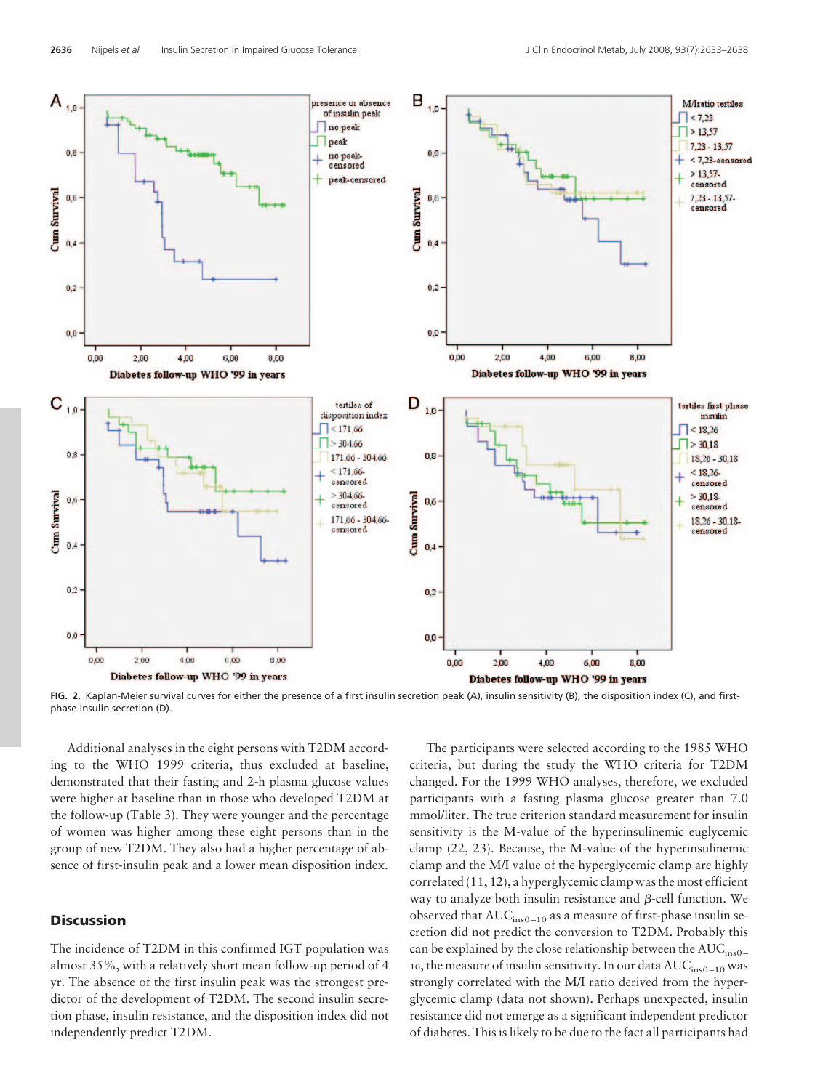

**FIG. 2.** Kaplan-Meier survival curves for either the presence of a first insulin secretion peak (A), insulin sensitivity (B), the disposition index (C), and firstphase insulin secretion (D).

Additional analyses in the eight persons with T2DM according to the WHO 1999 criteria, thus excluded at baseline, demonstrated that their fasting and 2-h plasma glucose values were higher at baseline than in those who developed T2DM at the follow-up (Table 3). They were younger and the percentage of women was higher among these eight persons than in the group of new T2DM. They also had a higher percentage of absence of first-insulin peak and a lower mean disposition index.

## **Discussion**

The incidence of T2DM in this confirmed IGT population was almost 35%, with a relatively short mean follow-up period of 4 yr. The absence of the first insulin peak was the strongest predictor of the development of T2DM. The second insulin secretion phase, insulin resistance, and the disposition index did not independently predict T2DM.

The participants were selected according to the 1985 WHO criteria, but during the study the WHO criteria for T2DM changed. For the 1999 WHO analyses, therefore, we excluded participants with a fasting plasma glucose greater than 7.0 mmol/liter. The true criterion standard measurement for insulin sensitivity is the M-value of the hyperinsulinemic euglycemic clamp (22, 23). Because, the M-value of the hyperinsulinemic clamp and the M/I value of the hyperglycemic clamp are highly correlated (11, 12), a hyperglycemic clamp was the most efficient way to analyze both insulin resistance and  $\beta$ -cell function. We observed that  $AUC<sub>ins0-10</sub>$  as a measure of first-phase insulin secretion did not predict the conversion to T2DM. Probably this can be explained by the close relationship between the AUC<sub>ins0</sub> 10, the measure of insulin sensitivity. In our data  $AUC<sub>ins0-10</sub>$  was strongly correlated with the M/I ratio derived from the hyperglycemic clamp (data not shown). Perhaps unexpected, insulin resistance did not emerge as a significant independent predictor of diabetes. This is likely to be due to the fact all participants had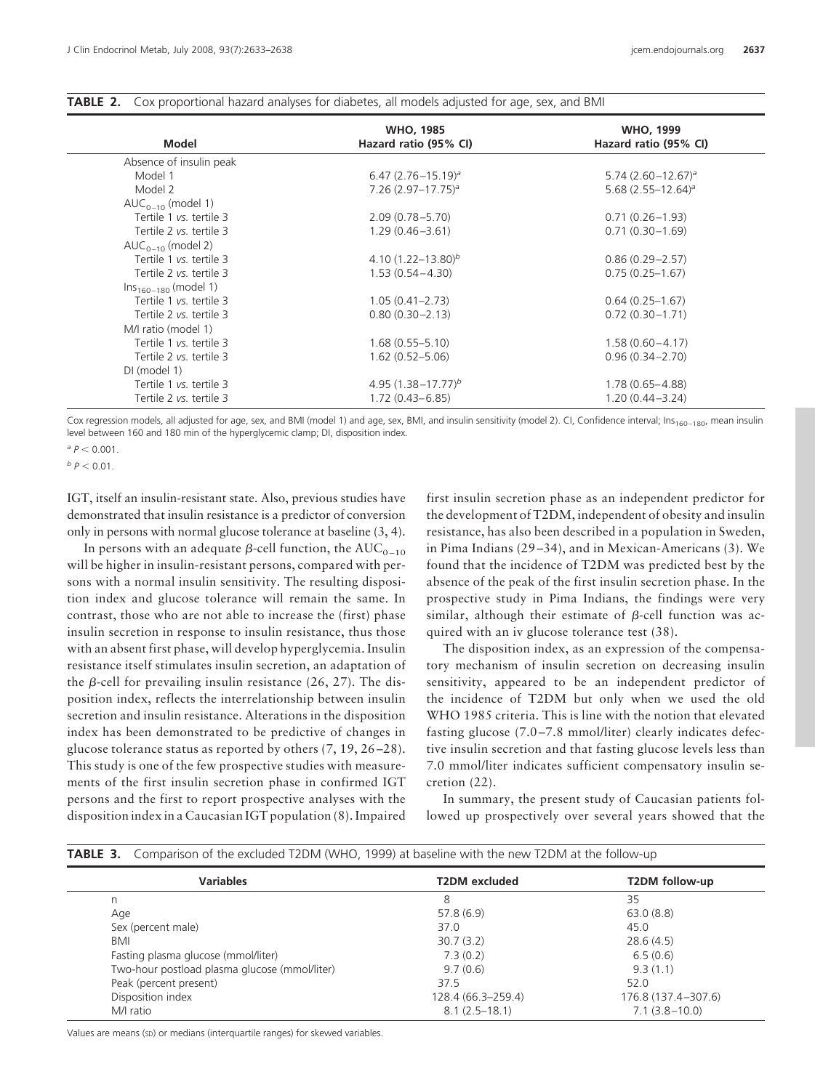| Model                     | <b>WHO, 1985</b><br>Hazard ratio (95% CI) | <b>WHO, 1999</b><br>Hazard ratio (95% CI) |
|---------------------------|-------------------------------------------|-------------------------------------------|
| Absence of insulin peak   |                                           |                                           |
| Model 1                   | $6.47(2.76 - 15.19)^a$                    | $5.74(2.60 - 12.67)^a$                    |
| Model 2                   | $7.26$ (2.97-17.75) <sup>a</sup>          | 5.68 $(2.55 - 12.64)^a$                   |
| $AUC_{0-10}$ (model 1)    |                                           |                                           |
| Tertile 1 vs. tertile 3   | $2.09(0.78 - 5.70)$                       | $0.71(0.26 - 1.93)$                       |
| Tertile 2 vs. tertile 3   | $1.29(0.46 - 3.61)$                       | $0.71(0.30 - 1.69)$                       |
| $AUC_{0-10}$ (model 2)    |                                           |                                           |
| Tertile 1 vs. tertile 3   | 4.10 $(1.22 - 13.80)^b$                   | $0.86(0.29 - 2.57)$                       |
| Tertile 2 vs. tertile 3   | $1.53(0.54 - 4.30)$                       | $0.75(0.25-1.67)$                         |
| $Ins_{160-180}$ (model 1) |                                           |                                           |
| Tertile 1 vs. tertile 3   | $1.05(0.41 - 2.73)$                       | $0.64(0.25 - 1.67)$                       |
| Tertile 2 vs. tertile 3   | $0.80(0.30 - 2.13)$                       | $0.72(0.30 - 1.71)$                       |
| M/I ratio (model 1)       |                                           |                                           |
| Tertile 1 vs. tertile 3   | $1.68(0.55 - 5.10)$                       | $1.58(0.60 - 4.17)$                       |
| Tertile 2 vs. tertile 3   | $1.62(0.52 - 5.06)$                       | $0.96(0.34 - 2.70)$                       |
| DI (model 1)              |                                           |                                           |
| Tertile 1 vs. tertile 3   | 4.95 $(1.38 - 17.77)^b$                   | $1.78(0.65 - 4.88)$                       |
| Tertile 2 vs. tertile 3   | $1.72(0.43 - 6.85)$                       | $1.20(0.44 - 3.24)$                       |

#### **TABLE 2.** Cox proportional hazard analyses for diabetes, all models adjusted for age, sex, and BMI

Cox regression models, all adjusted for age, sex, and BMI (model 1) and age, sex, BMI, and insulin sensitivity (model 2). CI, Confidence interval; Ins<sub>160-180</sub>, mean insulin level between 160 and 180 min of the hyperglycemic clamp; DI, disposition index.

 $^{a} P < 0.001$ .

 $b$   $p$  < 0.01.

IGT, itself an insulin-resistant state. Also, previous studies have demonstrated that insulin resistance is a predictor of conversion only in persons with normal glucose tolerance at baseline (3, 4).

In persons with an adequate  $\beta$ -cell function, the AUC<sub>0-10</sub> will be higher in insulin-resistant persons, compared with persons with a normal insulin sensitivity. The resulting disposition index and glucose tolerance will remain the same. In contrast, those who are not able to increase the (first) phase insulin secretion in response to insulin resistance, thus those with an absent first phase, will develop hyperglycemia. Insulin resistance itself stimulates insulin secretion, an adaptation of the  $\beta$ -cell for prevailing insulin resistance (26, 27). The disposition index, reflects the interrelationship between insulin secretion and insulin resistance. Alterations in the disposition index has been demonstrated to be predictive of changes in glucose tolerance status as reported by others (7, 19, 26 –28). This study is one of the few prospective studies with measurements of the first insulin secretion phase in confirmed IGT persons and the first to report prospective analyses with the disposition index in a Caucasian IGT population (8). Impaired

first insulin secretion phase as an independent predictor for the development of T2DM, independent of obesity and insulin resistance, has also been described in a population in Sweden, in Pima Indians (29 –34), and in Mexican-Americans (3). We found that the incidence of T2DM was predicted best by the absence of the peak of the first insulin secretion phase. In the prospective study in Pima Indians, the findings were very similar, although their estimate of  $\beta$ -cell function was acquired with an iv glucose tolerance test (38).

The disposition index, as an expression of the compensatory mechanism of insulin secretion on decreasing insulin sensitivity, appeared to be an independent predictor of the incidence of T2DM but only when we used the old WHO 1985 criteria. This is line with the notion that elevated fasting glucose (7.0 –7.8 mmol/liter) clearly indicates defective insulin secretion and that fasting glucose levels less than 7.0 mmol/liter indicates sufficient compensatory insulin secretion (22).

In summary, the present study of Caucasian patients followed up prospectively over several years showed that the

| <b>Variables</b>                              | <b>T2DM</b> excluded | T2DM follow-up        |
|-----------------------------------------------|----------------------|-----------------------|
|                                               | 8                    | 35                    |
| Age                                           | 57.8(6.9)            | 63.0(8.8)             |
| Sex (percent male)                            | 37.0                 | 45.0                  |
| BMI                                           | 30.7(3.2)            | 28.6(4.5)             |
| Fasting plasma glucose (mmol/liter)           | 7.3(0.2)             | 6.5(0.6)              |
| Two-hour postload plasma glucose (mmol/liter) | 9.7(0.6)             | 9.3(1.1)              |
| Peak (percent present)                        | 37.5                 | 52.0                  |
| Disposition index                             | 128.4 (66.3–259.4)   | 176.8 (137.4 - 307.6) |
| M/I ratio                                     | $8.1(2.5-18.1)$      | $7.1(3.8 - 10.0)$     |

**TABLE 3.** Comparison of the excluded T2DM (WHO, 1999) at baseline with the new T2DM at the follow-up

Values are means (sD) or medians (interquartile ranges) for skewed variables.